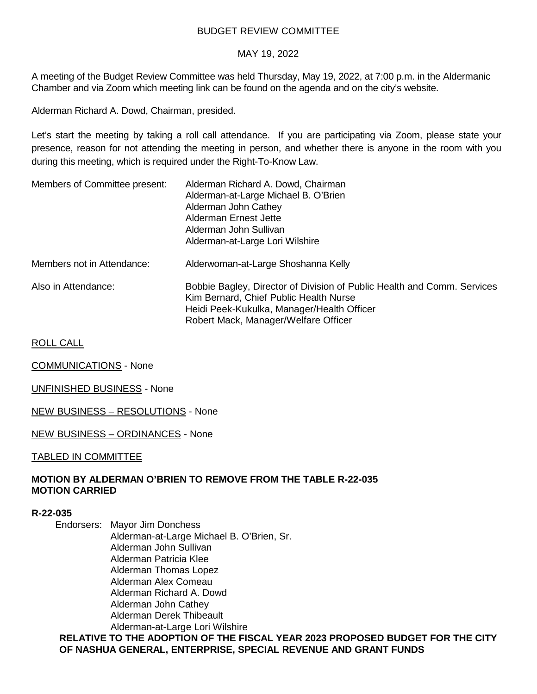## BUDGET REVIEW COMMITTEE

#### MAY 19, 2022

A meeting of the Budget Review Committee was held Thursday, May 19, 2022, at 7:00 p.m. in the Aldermanic Chamber and via Zoom which meeting link can be found on the agenda and on the city's website.

Alderman Richard A. Dowd, Chairman, presided.

Let's start the meeting by taking a roll call attendance. If you are participating via Zoom, please state your presence, reason for not attending the meeting in person, and whether there is anyone in the room with you during this meeting, which is required under the Right-To-Know Law.

| Members of Committee present: | Alderman Richard A. Dowd, Chairman<br>Alderman-at-Large Michael B. O'Brien<br>Alderman John Cathey<br>Alderman Ernest Jette<br>Alderman John Sullivan<br>Alderman-at-Large Lori Wilshire                |
|-------------------------------|---------------------------------------------------------------------------------------------------------------------------------------------------------------------------------------------------------|
| Members not in Attendance:    | Alderwoman-at-Large Shoshanna Kelly                                                                                                                                                                     |
| Also in Attendance:           | Bobbie Bagley, Director of Division of Public Health and Comm. Services<br>Kim Bernard, Chief Public Health Nurse<br>Heidi Peek-Kukulka, Manager/Health Officer<br>Robert Mack, Manager/Welfare Officer |

ROLL CALL

COMMUNICATIONS - None

UNFINISHED BUSINESS - None

NEW BUSINESS – RESOLUTIONS - None

NEW BUSINESS – ORDINANCES - None

TABLED IN COMMITTEE

# **MOTION BY ALDERMAN O'BRIEN TO REMOVE FROM THE TABLE R-22-035 MOTION CARRIED**

#### **R-22-035**

Endorsers: Mayor Jim Donchess Alderman-at-Large Michael B. O'Brien, Sr. Alderman John Sullivan Alderman Patricia Klee Alderman Thomas Lopez Alderman Alex Comeau Alderman Richard A. Dowd Alderman John Cathey Alderman Derek Thibeault Alderman-at-Large Lori Wilshire

**RELATIVE TO THE ADOPTION OF THE FISCAL YEAR 2023 PROPOSED BUDGET FOR THE CITY OF NASHUA GENERAL, ENTERPRISE, SPECIAL REVENUE AND GRANT FUNDS**